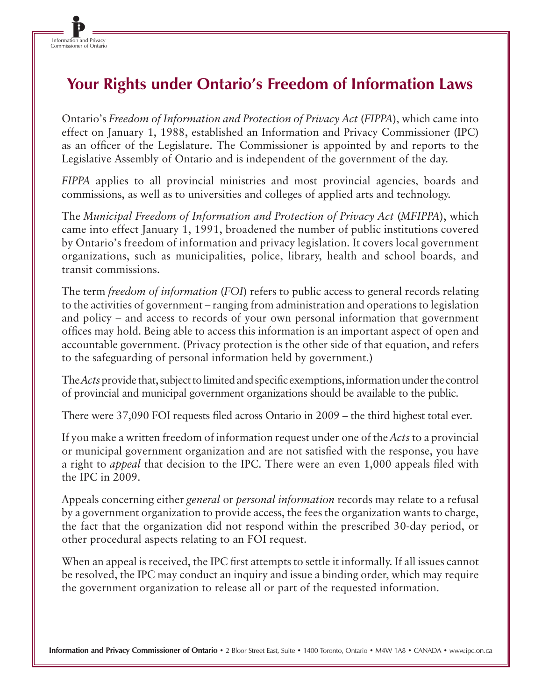## **Your Rights under Ontario's Freedom of Information Laws**

Ontario's *Freedom of Information and Protection of Privacy Act* (*FIPPA*), which came into effect on January 1, 1988, established an Information and Privacy Commissioner (IPC) as an officer of the Legislature. The Commissioner is appointed by and reports to the Legislative Assembly of Ontario and is independent of the government of the day.

*FIPPA* applies to all provincial ministries and most provincial agencies, boards and commissions, as well as to universities and colleges of applied arts and technology.

The *Municipal Freedom of Information and Protection of Privacy Act* (*MFIPPA*), which came into effect January 1, 1991, broadened the number of public institutions covered by Ontario's freedom of information and privacy legislation. It covers local government organizations, such as municipalities, police, library, health and school boards, and transit commissions.

The term *freedom of information* (*FOI*) refers to public access to general records relating to the activities of government – ranging from administration and operations to legislation and policy – and access to records of your own personal information that government offices may hold. Being able to access this information is an important aspect of open and accountable government. (Privacy protection is the other side of that equation, and refers to the safeguarding of personal information held by government.)

The *Acts* provide that, subject to limited and specific exemptions, information under the control of provincial and municipal government organizations should be available to the public.

There were 37,090 FOI requests filed across Ontario in 2009 – the third highest total ever.

If you make a written freedom of information request under one of the *Acts* to a provincial or municipal government organization and are not satisfied with the response, you have a right to *appeal* that decision to the IPC. There were an even 1,000 appeals filed with the IPC in 2009.

Appeals concerning either *general* or *personal information* records may relate to a refusal by a government organization to provide access, the fees the organization wants to charge, the fact that the organization did not respond within the prescribed 30-day period, or other procedural aspects relating to an FOI request.

When an appeal is received, the IPC first attempts to settle it informally. If all issues cannot be resolved, the IPC may conduct an inquiry and issue a binding order, which may require the government organization to release all or part of the requested information.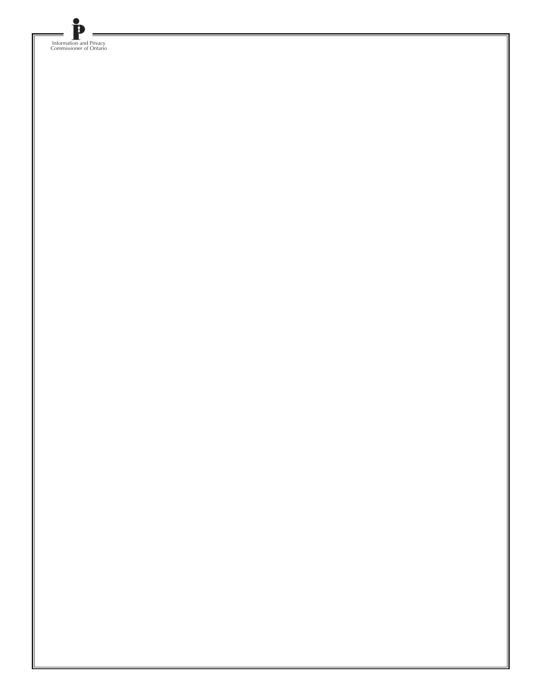Information and Privacy Commissioner of Ontario